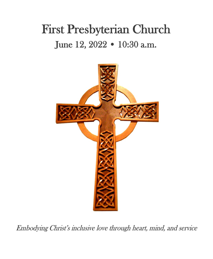# First Presbyterian Church June 12, 2022 • 10:30 a.m.



Embodying Christ's inclusive love through heart, mind, and service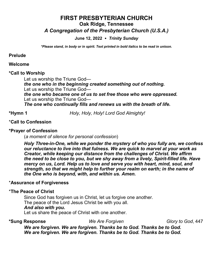# **FIRST PRESBYTERIAN CHURCH Oak Ridge, Tennessee** *A Congregation of the Presbyterian Church (U.S.A.)*

**June 12, 2022** *Trinity Sunday* 

*\*Please stand, in body or in spirit. Text printed in bold italics to be read in unison.*

#### **Prelude**

#### **Welcome**

#### **\*Call to Worship**

Let us worship the Triune God *the one who in the beginning created something out of nothing.* Let us worship the Triune God *the one who became one of us to set free those who were oppressed.* Let us worship the Triune God— *The one who continually fills and renews us with the breath of life.*

**\*Hymn 1** *Holy, Holy, Holy! Lord God Almighty!*

## \***Call to Confession**

#### **\*Prayer of Confession**

(*a moment of silence for personal confession*)

*Holy Three-in-One, while we ponder the mystery of who you fully are, we confess our reluctance to live into that fulness. We are quick to marvel at your work as Creator, while keeping our distance from the challenges of Christ. We affirm the need to be close to you, but we shy away from a lively, Spirit-filled life. Have mercy on us, Lord. Help us to love and serve you with heart, mind, soul, and strength, so that we might help to further your realm on earth; in the name of the One who is beyond, with, and within us. Amen.*

#### \***Assurance of Forgiveness**

#### \***The Peace of Christ**

Since God has forgiven us in Christ, let us forgive one another. The peace of the Lord Jesus Christ be with you all. *And also with you***.** Let us share the peace of Christ with one another.

**\*Sung Response** *We Are Forgiven Glory to God*, 447

*We are forgiven. We are forgiven. Thanks be to God. Thanks be to God. We are forgiven. We are forgiven. Thanks be to God. Thanks be to God.*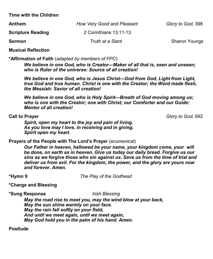**Time with the Children**

| <b>Anthem</b>            | How Very Good and Pleasant | Glory to God, 398    |
|--------------------------|----------------------------|----------------------|
| <b>Scripture Reading</b> | 2 Corinthians 13:11-13     |                      |
| <b>Sermon</b>            | Truth at a Slant           | <b>Sharon Youngs</b> |

**Musical Reflection**

**\*Affirmation of Faith** (*adapted by members of FPC*)

*We believe in one God, who is Creator—Maker of all that is, seen and unseen; who is Ruler of the universe: Source of all creation!*

*We believe in one God, who is Jesus Christ—God from God, Light from Light, true God and true human. Christ is one with the Creator; the Word made flesh, the Messiah: Savior of all creation!*

*We believe in one God, who is Holy Spirit—Breath of God moving among us; who is one with the Creator; one with Christ; our Comforter and our Guide: Mentor of all creation!*

**Call to Prayer** *Glory to God,* 692

*Spirit, open my heart to the joy and pain of living. As you love may I love, in receiving and in giving. Spirit open my heart.*

**Prayers of the People with The Lord's Prayer** (*ecumenical*)

*Our Father in heaven, hallowed be your name, your kingdom come, your will be done, on earth as in heaven. Give us today our daily bread. Forgive us our sins as we forgive those who sin against us. Save us from the time of trial and deliver us from evil. For the kingdom, the power, and the glory are yours now and forever. Amen.*

**\*Hymn 9** *The Play of the Godhead*

**\*Charge and Blessing**

**\*Sung Response** *Irish Blessing* 

*May the road rise to meet you, may the wind blow at your back, May the sun shine warmly on your face. May the rain fall softly on your field, And until we meet again, until we meet again, May God hold you in the palm of his hand. Amen.*

**Postlude**